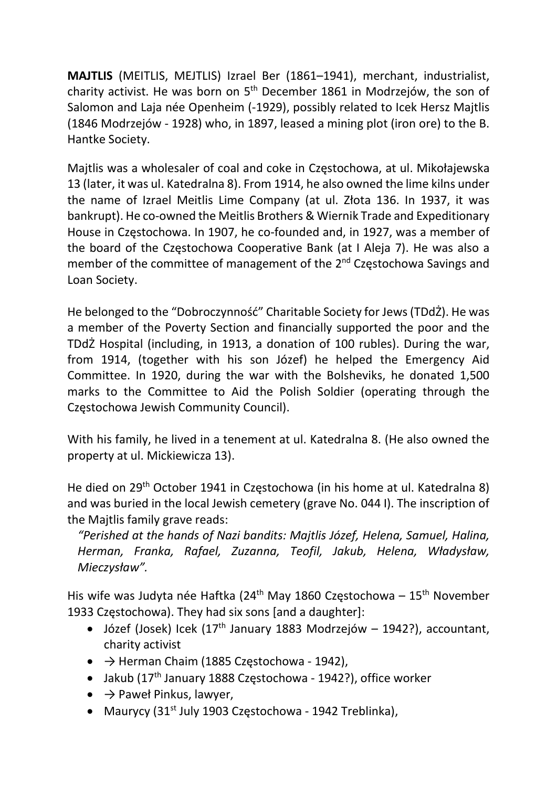MAJTLIS (MEITLIS, MEJTLIS) Izrael Ber (1861–1941), merchant, industrialist, charity activist. He was born on 5<sup>th</sup> December 1861 in Modrzejów, the son of Salomon and Laja née Openheim (-1929), possibly related to Icek Hersz Majtlis (1846 Modrzejów - 1928) who, in 1897, leased a mining plot (iron ore) to the B. Hantke Society.

Majtlis was a wholesaler of coal and coke in Częstochowa, at ul. Mikołajewska 13 (later, it was ul. Katedralna 8). From 1914, he also owned the lime kilns under the name of Izrael Meitlis Lime Company (at ul. Złota 136. In 1937, it was bankrupt). He co-owned the Meitlis Brothers & Wiernik Trade and Expeditionary House in Częstochowa. In 1907, he co-founded and, in 1927, was a member of the board of the Częstochowa Cooperative Bank (at I Aleja 7). He was also a member of the committee of management of the 2<sup>nd</sup> Częstochowa Savings and Loan Society.

He belonged to the "Dobroczynność" Charitable Society for Jews (TDdŻ). He was a member of the Poverty Section and financially supported the poor and the TDdŻ Hospital (including, in 1913, a donation of 100 rubles). During the war, from 1914, (together with his son Józef) he helped the Emergency Aid Committee. In 1920, during the war with the Bolsheviks, he donated 1,500 marks to the Committee to Aid the Polish Soldier (operating through the Częstochowa Jewish Community Council).

With his family, he lived in a tenement at ul. Katedralna 8. (He also owned the property at ul. Mickiewicza 13).

He died on 29th October 1941 in Częstochowa (in his home at ul. Katedralna 8) and was buried in the local Jewish cemetery (grave No. 044 I). The inscription of the Majtlis family grave reads:

"Perished at the hands of Nazi bandits: Majtlis Józef, Helena, Samuel, Halina, Herman, Franka, Rafael, Zuzanna, Teofil, Jakub, Helena, Władysław, Mieczysław".

His wife was Judyta née Haftka ( $24<sup>th</sup>$  May 1860 Częstochowa – 15<sup>th</sup> November 1933 Częstochowa). They had six sons [and a daughter]:

- $\bullet$  Józef (Josek) Icek (17<sup>th</sup> January 1883 Modrzejów 1942?), accountant, charity activist
- $\rightarrow$  Herman Chaim (1885 Częstochowa 1942).
- Jakub (17<sup>th</sup> January 1888 Częstochowa 1942?), office worker
- $\rightarrow$  Paweł Pinkus, lawyer,
- Maurycy  $(31^{st}$  July 1903 Częstochowa 1942 Treblinka),